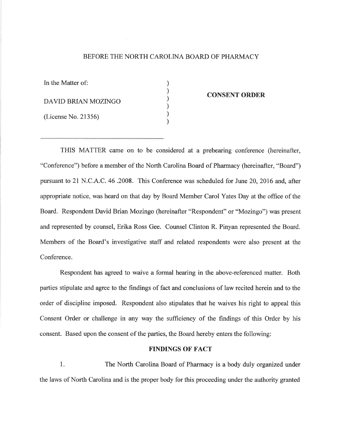### BEFORE THE NORTH CAROLINA BOARD OF PHARMACY

) ) ) ) ) )

In the Matter of: DAVID BRIAN MOZINGO (License No. 21356)

#### CONSENT ORDER

THIS MATTER came on to be considered at a prehearing conference (hereinafter, "Conference") before a member of the North Carolina Board of Pharmacy (hereinafter, "Board") pursuant to 21 N.C.A.C. 46 .2008. This Conference was scheduled for June 20, 2016 and, after appropriate notice, was heard on that day by Board Member Carol Yates Day at the office of the Board. Respondent David Brian Mozingo (hereinafter "Respondent" or "Mozingo") was present and represented by counsel, Erika Ross Gee. Counsel Clinton R. Pinyan represented the Board. Members of the Board's investigative staff and related respondents were also present at the Conference.

Respondent has agreed to waive a formal hearing in the above-referenced matter. Both parties stipulate and agree to the findings of fact and conclusions of law recited herein and to the order of discipline imposed. Respondent also stipulates that he waives his right to appeal this Consent Order or challenge in any way the sufficiency of the findings of this Order by his consent. Based upon the consent of the parties, the Board hereby enters the following:

#### **FINDINGS OF FACT**

1. The North Carolina Board of Pharmacy is a body duly organized under the laws of North Carolina and is the proper body for this proceeding under the authority granted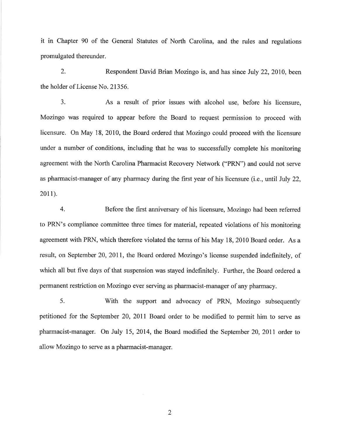it in Chapter 90 of the General Statutes of North Carolina, and the rules and regulations promulgated thereunder.

2. Respondent David Brian Mozingo is, and has since July 22,2010, been the holder of License No. 21356.

3. As a result of prior issues with alcohol use, before his licensure, Mozingo was required to appear before the Board to request permission to proceed with licensure. On May 18, 2010, the Board ordered that Mozingo could proceed with the licensure under a number of conditions, including that he was to successfully complete his monitoring agreement with the North Carolina Pharmacist Recovery Network ("PRN") and could not serve as pharmacist-manager of any pharmacy during the first year of his licensure (i.e., until July 22,  $2011$ ).

4. Before the first anniversary of his licensure, Mozingo had been referred to PRN's compliance committee three times for material, repeated violations of his monitoring agreement with PRN, which therefore violated the terms of his May 18, 2010 Board order. As a result, on September 20,201I, the Board ordered Mozingo's license suspended indefinitely, of which all but five days of that suspension was stayed indefinitely. Further, the Board ordered a permanent restriction on Mozingo ever serving as pharmacist-manager of any pharmacy.

5. With the support and advocacy of PRN, Mozingo subsequently petitioned for the September 20,2011 Board order to be modified to permit him to serve as pharmacist-manager. On July 15,2014, the Board modified the September 20,2011 order to allow Mozingo to serve as a pharmacist-manager.

2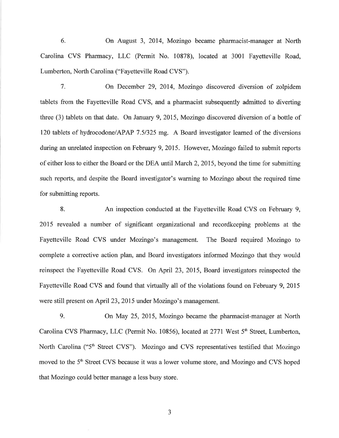6. On August 3, 2014, Mozingo became pharmacist-manager at North Carolina CVS Pharmacy, LLC (Permit No. 10878), located at 3001 Fayetteville Road, Lumberton, North Carolina ("Fayetteville Road CVS").

7. On December 29, 2014, Mozingo discovered diversion of zolpidem tablets from the Fayetteville Road CVS, and a pharmacist subsequently admitted to diverting three (3) tablets on that date. On January 9,2015, Mozingo discovered diversion of a bottle of 120 tablets of hydrocodone/APAP 7.51325 mg. A Board investigator learned of the diversions during an unrelated inspection on February 9,2015. However, Mozingo failed to submit reports of either loss to either the Board or the DEA until March 2,2015, beyond the time for submitting such reports, and despite the Board investigator's warning to Mozingo about the required time for submitting reports.

8. An inspection conducted at the Fayetteville Road CVS on February 9, 2015 revealed a number of significant organizational and recordkeeping problems at the Fayetteville Road CVS under Mozingo's management. The Board required Mozingo to complete a corrective action plan, and Board investigators informed Mozingo that they would reinspect the Fayetteville Road CVS. On April 23, 2015, Board investigators reinspected the Fayetteville Road CVS and found that virtually all of the violations found on February 9, 2015 were still present on April 23,2015 under Mozingo's management.

9. On May 25, 2015, Mozingo became the pharmacist-manager at North Carolina CVS Pharmacy, LLC (Permit No. 10856), located at 2771 West 5<sup>th</sup> Street, Lumberton, North Carolina ("5<sup>th</sup> Street CVS"). Mozingo and CVS representatives testified that Mozingo moved to the 5<sup>th</sup> Street CVS because it was a lower volume store, and Mozingo and CVS hoped that Mozingo could better manage a less busy store.

a J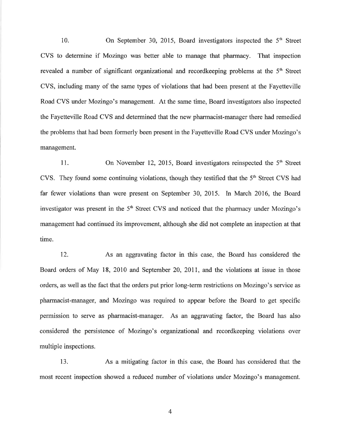10. On September 30, 2015, Board investigators inspected the  $5<sup>th</sup>$  Street CVS to determine if Mozingo was better able to manage that pharmacy. That inspection revealed a number of significant organizational and record keeping problems at the  $5<sup>th</sup>$  Street CVS, including many of the same types of violations that had been present at the Fayetteville Road CVS under Mozingo's management. At the same time, Board investigators also inspected the Fayetteville Road CVS and determined that the new pharmacist-manager there had remedied the problems that had been formerly been present in the Fayetteville Road CVS under Mozingo's management.

11. On November 12, 2015, Board investigators reinspected the  $5<sup>th</sup>$  Street CVS. They found some continuing violations, though they testified that the 5<sup>th</sup> Street CVS had far fewer violations than were present on September 30, 2015. In March 2016, the Board investigator was present in the  $5<sup>th</sup>$  Street CVS and noticed that the pharmacy under Mozingo's management had continued its improvement, although she did not complete an inspection at that time.

12. As an aggravating factor in this case, the Board has considered the Board orders of May 18, 2010 and September 20, 2011, and the violations at issue in those orders, as well as the fact that the orders put prior long-term restrictions on Mozingo's seryice as pharmacist-manager, and Mozingo was required to appear before the Board to get specific permission to serve as pharmacist-manager. As an aggravating factor, the Board has also considered the persistence of Mozingo's organizational and recordkeeping violations over multiple inspections.

13. As a mitigating factor in this case, the Board has considered that the most recent inspection showed a reduced number of violations under Mozingo's management.

4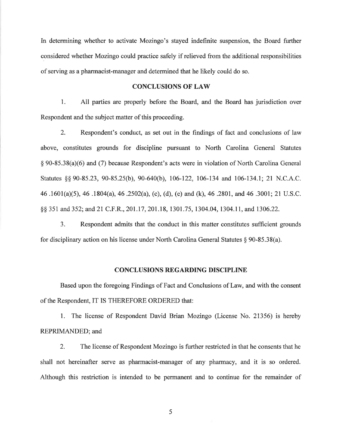In determining whether to activate Mozingo's stayed indefinite suspension, the Board further considered whether Mozingo could practice safely if relieved from the additional responsibilities of serving as a pharmacist-manager and determined that he likely could do so.

#### CONCLUSIONS OF LAW

1. All parties are properly before the Board, and the Board has jurisdiction over Respondent and the subject matter of this proceeding.

2. Respondent's conduct, as set out in the findings of fact and conclusions of law above, constitutes grounds for discipline pursuant to North Carolina General Statutes \$ 90-85.38(a)(6) and (7) because Respondent's acts were in violation of North Carolina General Statutes §§ 90-85.23, 90-85.25(b), 90-640(b), 106-122, 106-134 and 106-134.1; 21 N.C.A.C. 46 .1601(a)(5),46.1804(a), 46 .2502(a), (c), (d), (e) and (k), 46 .2801, and 46.3001; 21 U.S.C. §§ 351 and 352; and 21 C.F.R., 201.17, 201.18, 1301.75, 1304.04, 1304.11, and 1306.22.

3. Respondent admits that the conduct in this matter constitutes sufficient grounds for disciplinary action on his license under North Carolina General Statutes \$ 90-85.38(a).

#### CONCLUSIONS REGARDING DISCIPLINE

Based upon the foregoing Findings of Fact and Conclusions of Law, and with the consent of the Respondent, IT IS THEREFORE ORDERED that:

l. The license of Respondent David Brian Mozingo (License No. 21356) is hereby REPRIMANDED; and

2. The license of Respondent Mozingo is further restricted in that he consents that he shall not hereinafter serve as pharmacist-manager of any pharmacy, and it is so ordered. Although this restriction is intended to be permanent and to continue for the remainder of

5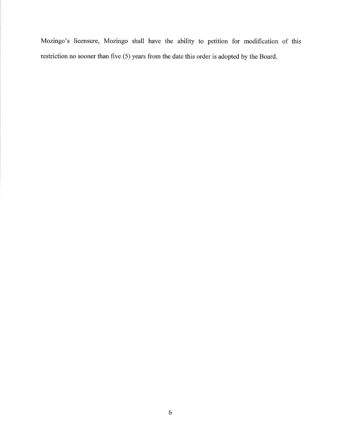Mozingo's licensure, Mozingo shall have the ability to petition for modification of this restriction no sooner than five (5) years from the date this order is adopted by the Board.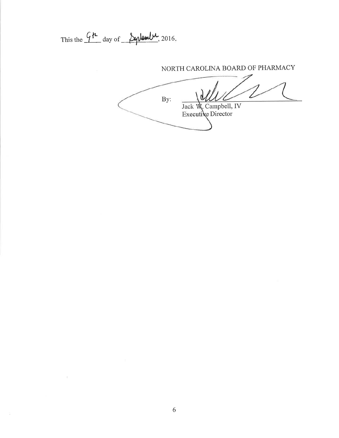This the  $\frac{G\mu}{\mu}$  day of  $\frac{\mu}{\mu}$  2016.

# NORTH CAROLINA BOARD OF PHARMACY

 $By:$ Jack W. Campbell, IV<br>Executive Director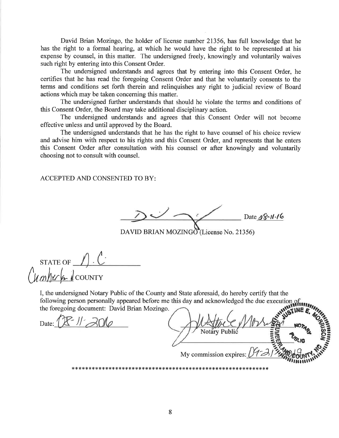David Brian Mozingo, the holder of license number 21356, has full knowledge that he has the right to a formal hearing, at which he would have the right to be represented at his expense by counsel, in this matter. The undersigned freely, knowingly and voluntarily waives such right by entering into this Consent Order.

The undersigned understands and agrees that by entering into this Consent Order, he certifies that he has read the foregoing Consent Order and that he voluntarily consents to the terms and conditions set forth therein and relinquishes any right to judicial review of Board actions which may be taken concerning this matter.

The undersigned further understands that should he violate the terms and conditions of this Consent Order, the Board may take additional disciplinary action.

The undersigned understands and agrees that this Consent Order will not become effective unless and until approved by the Board.

The undersigned understands that he has the right to have counsel of his choice review and advise him with respect to his rights and this Consent Order, and represents that he enters this Consent Order after consultation with his counsel or after knowingly and voluntarily choosing not to consult with counsel.

## **ACCEPTED AND CONSENTED TO BY:**

Date  $\angle 8 - 11 - 16$ 

DAVID BRIAN MOZINGO (License No. 21356)

STATE OF  $\bigcap_{\mathcal{M}} \mathcal{C}$ 

I, the undersigned Notary Public of the County and State aforesaid, do hereby certify that the following person personally appeared before me this day and acknowledged the due execution of the foregoing document: David Brian Mozingo.

Date:  $1 \mathcal{K}$ <sup>-</sup>  $1/2$   $\mathcal{R}$   $\cap$   $\mathcal{A}$ 

My commission expires: